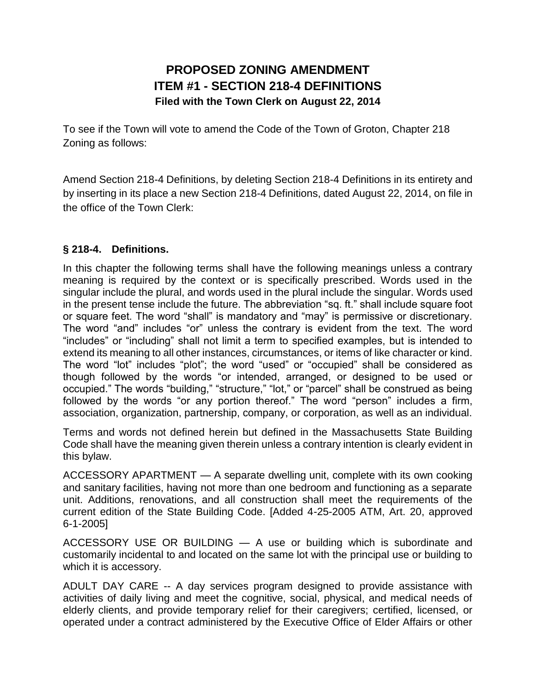## **PROPOSED ZONING AMENDMENT ITEM #1 - SECTION 218-4 DEFINITIONS Filed with the Town Clerk on August 22, 2014**

To see if the Town will vote to amend the Code of the Town of Groton, Chapter 218 Zoning as follows:

Amend Section 218-4 Definitions, by deleting Section 218-4 Definitions in its entirety and by inserting in its place a new Section 218-4 Definitions, dated August 22, 2014, on file in the office of the Town Clerk:

## **§ 218-4. Definitions.**

In this chapter the following terms shall have the following meanings unless a contrary meaning is required by the context or is specifically prescribed. Words used in the singular include the plural, and words used in the plural include the singular. Words used in the present tense include the future. The abbreviation "sq. ft." shall include square foot or square feet. The word "shall" is mandatory and "may" is permissive or discretionary. The word "and" includes "or" unless the contrary is evident from the text. The word "includes" or "including" shall not limit a term to specified examples, but is intended to extend its meaning to all other instances, circumstances, or items of like character or kind. The word "lot" includes "plot"; the word "used" or "occupied" shall be considered as though followed by the words "or intended, arranged, or designed to be used or occupied." The words "building," "structure," "lot," or "parcel" shall be construed as being followed by the words "or any portion thereof." The word "person" includes a firm, association, organization, partnership, company, or corporation, as well as an individual.

Terms and words not defined herein but defined in the Massachusetts State Building Code shall have the meaning given therein unless a contrary intention is clearly evident in this bylaw.

ACCESSORY APARTMENT — A separate dwelling unit, complete with its own cooking and sanitary facilities, having not more than one bedroom and functioning as a separate unit. Additions, renovations, and all construction shall meet the requirements of the current edition of the State Building Code. [Added 4-25-2005 ATM, Art. 20, approved 6-1-2005]

ACCESSORY USE OR BUILDING — A use or building which is subordinate and customarily incidental to and located on the same lot with the principal use or building to which it is accessory.

ADULT DAY CARE -- A day services program designed to provide assistance with activities of daily living and meet the cognitive, social, physical, and medical needs of elderly clients, and provide temporary relief for their caregivers; certified, licensed, or operated under a contract administered by the Executive Office of Elder Affairs or other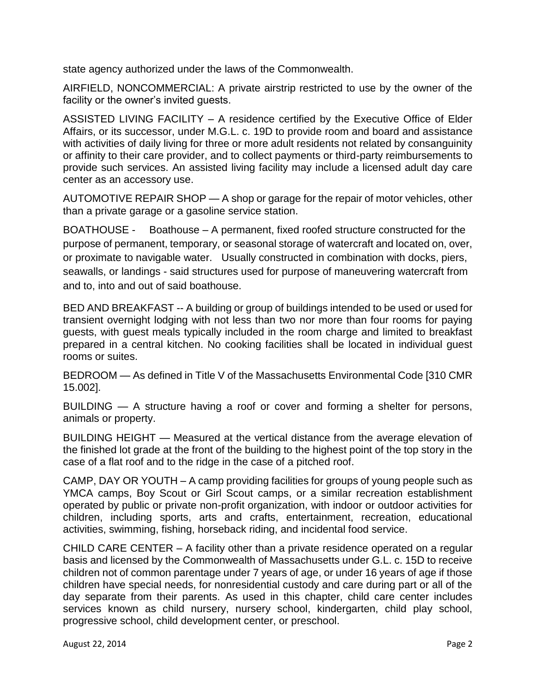state agency authorized under the laws of the Commonwealth.

AIRFIELD, NONCOMMERCIAL: A private airstrip restricted to use by the owner of the facility or the owner's invited guests.

ASSISTED LIVING FACILITY – A residence certified by the Executive Office of Elder Affairs, or its successor, under M.G.L. c. 19D to provide room and board and assistance with activities of daily living for three or more adult residents not related by consanguinity or affinity to their care provider, and to collect payments or third-party reimbursements to provide such services. An assisted living facility may include a licensed adult day care center as an accessory use.

AUTOMOTIVE REPAIR SHOP — A shop or garage for the repair of motor vehicles, other than a private garage or a gasoline service station.

BOATHOUSE - Boathouse – A permanent, fixed roofed structure constructed for the purpose of permanent, temporary, or seasonal storage of watercraft and located on, over, or proximate to navigable water. Usually constructed in combination with docks, piers, seawalls, or landings - said structures used for purpose of maneuvering watercraft from and to, into and out of said boathouse.

BED AND BREAKFAST -- A building or group of buildings intended to be used or used for transient overnight lodging with not less than two nor more than four rooms for paying guests, with guest meals typically included in the room charge and limited to breakfast prepared in a central kitchen. No cooking facilities shall be located in individual guest rooms or suites.

BEDROOM — As defined in Title V of the Massachusetts Environmental Code [310 CMR 15.002].

BUILDING — A structure having a roof or cover and forming a shelter for persons, animals or property.

BUILDING HEIGHT — Measured at the vertical distance from the average elevation of the finished lot grade at the front of the building to the highest point of the top story in the case of a flat roof and to the ridge in the case of a pitched roof.

CAMP, DAY OR YOUTH – A camp providing facilities for groups of young people such as YMCA camps, Boy Scout or Girl Scout camps, or a similar recreation establishment operated by public or private non-profit organization, with indoor or outdoor activities for children, including sports, arts and crafts, entertainment, recreation, educational activities, swimming, fishing, horseback riding, and incidental food service.

CHILD CARE CENTER – A facility other than a private residence operated on a regular basis and licensed by the Commonwealth of Massachusetts under G.L. c. 15D to receive children not of common parentage under 7 years of age, or under 16 years of age if those children have special needs, for nonresidential custody and care during part or all of the day separate from their parents. As used in this chapter, child care center includes services known as child nursery, nursery school, kindergarten, child play school, progressive school, child development center, or preschool.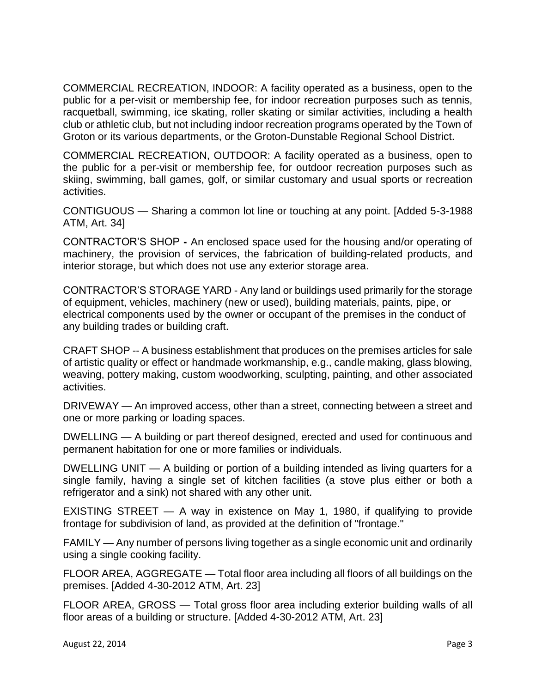COMMERCIAL RECREATION, INDOOR: A facility operated as a business, open to the public for a per-visit or membership fee, for indoor recreation purposes such as tennis, racquetball, swimming, ice skating, roller skating or similar activities, including a health club or athletic club, but not including indoor recreation programs operated by the Town of Groton or its various departments, or the Groton-Dunstable Regional School District.

COMMERCIAL RECREATION, OUTDOOR: A facility operated as a business, open to the public for a per-visit or membership fee, for outdoor recreation purposes such as skiing, swimming, ball games, golf, or similar customary and usual sports or recreation activities.

CONTIGUOUS — Sharing a common lot line or touching at any point. [Added 5-3-1988 ATM, Art. 34]

CONTRACTOR'S SHOP **-** An enclosed space used for the housing and/or operating of machinery, the provision of services, the fabrication of building-related products, and interior storage, but which does not use any exterior storage area.

CONTRACTOR'S STORAGE YARD - Any land or buildings used primarily for the storage of equipment, vehicles, machinery (new or used), building materials, paints, pipe, or electrical components used by the owner or occupant of the premises in the conduct of any building trades or building craft.

CRAFT SHOP -- A business establishment that produces on the premises articles for sale of artistic quality or effect or handmade workmanship, e.g., candle making, glass blowing, weaving, pottery making, custom woodworking, sculpting, painting, and other associated activities.

DRIVEWAY — An improved access, other than a street, connecting between a street and one or more parking or loading spaces.

DWELLING — A building or part thereof designed, erected and used for continuous and permanent habitation for one or more families or individuals.

DWELLING UNIT — A building or portion of a building intended as living quarters for a single family, having a single set of kitchen facilities (a stove plus either or both a refrigerator and a sink) not shared with any other unit.

EXISTING STREET — A way in existence on May 1, 1980, if qualifying to provide frontage for subdivision of land, as provided at the definition of "frontage."

FAMILY — Any number of persons living together as a single economic unit and ordinarily using a single cooking facility.

FLOOR AREA, AGGREGATE — Total floor area including all floors of all buildings on the premises. [Added 4-30-2012 ATM, Art. 23]

FLOOR AREA, GROSS — Total gross floor area including exterior building walls of all floor areas of a building or structure. [Added 4-30-2012 ATM, Art. 23]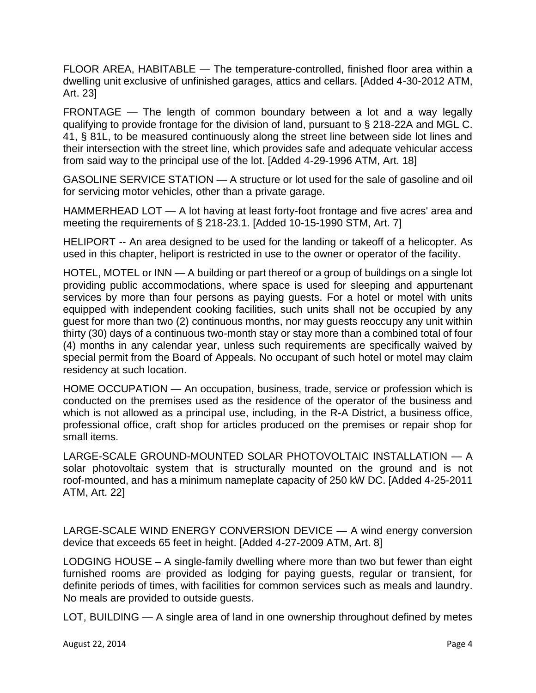FLOOR AREA, HABITABLE — The temperature-controlled, finished floor area within a dwelling unit exclusive of unfinished garages, attics and cellars. [Added 4-30-2012 ATM, Art. 23]

FRONTAGE — The length of common boundary between a lot and a way legally qualifying to provide frontage for the division of land, pursuant to § 218-22A and MGL C. 41, § 81L, to be measured continuously along the street line between side lot lines and their intersection with the street line, which provides safe and adequate vehicular access from said way to the principal use of the lot. [Added 4-29-1996 ATM, Art. 18]

GASOLINE SERVICE STATION — A structure or lot used for the sale of gasoline and oil for servicing motor vehicles, other than a private garage.

HAMMERHEAD LOT — A lot having at least forty-foot frontage and five acres' area and meeting the requirements of § 218-23.1. [Added 10-15-1990 STM, Art. 7]

HELIPORT -- An area designed to be used for the landing or takeoff of a helicopter. As used in this chapter, heliport is restricted in use to the owner or operator of the facility.

HOTEL, MOTEL or INN — A building or part thereof or a group of buildings on a single lot providing public accommodations, where space is used for sleeping and appurtenant services by more than four persons as paying guests. For a hotel or motel with units equipped with independent cooking facilities, such units shall not be occupied by any guest for more than two (2) continuous months, nor may guests reoccupy any unit within thirty (30) days of a continuous two-month stay or stay more than a combined total of four (4) months in any calendar year, unless such requirements are specifically waived by special permit from the Board of Appeals. No occupant of such hotel or motel may claim residency at such location.

HOME OCCUPATION — An occupation, business, trade, service or profession which is conducted on the premises used as the residence of the operator of the business and which is not allowed as a principal use, including, in the R-A District, a business office, professional office, craft shop for articles produced on the premises or repair shop for small items.

LARGE-SCALE GROUND-MOUNTED SOLAR PHOTOVOLTAIC INSTALLATION — A solar photovoltaic system that is structurally mounted on the ground and is not roof-mounted, and has a minimum nameplate capacity of 250 kW DC. [Added 4-25-2011 ATM, Art. 22]

LARGE-SCALE WIND ENERGY CONVERSION DEVICE — A wind energy conversion device that exceeds 65 feet in height. [Added 4-27-2009 ATM, Art. 8]

LODGING HOUSE – A single-family dwelling where more than two but fewer than eight furnished rooms are provided as lodging for paying guests, regular or transient, for definite periods of times, with facilities for common services such as meals and laundry. No meals are provided to outside guests.

LOT, BUILDING — A single area of land in one ownership throughout defined by metes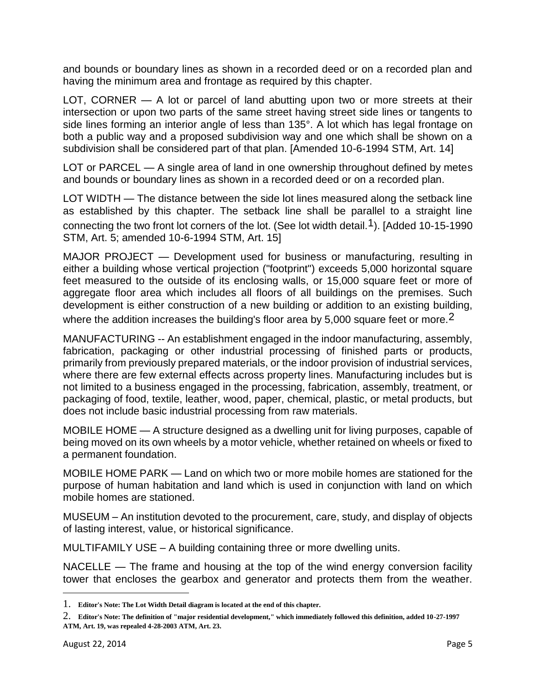and bounds or boundary lines as shown in a recorded deed or on a recorded plan and having the minimum area and frontage as required by this chapter.

LOT, CORNER — A lot or parcel of land abutting upon two or more streets at their intersection or upon two parts of the same street having street side lines or tangents to side lines forming an interior angle of less than 135°. A lot which has legal frontage on both a public way and a proposed subdivision way and one which shall be shown on a subdivision shall be considered part of that plan. [Amended 10-6-1994 STM, Art. 14]

LOT or PARCEL — A single area of land in one ownership throughout defined by metes and bounds or boundary lines as shown in a recorded deed or on a recorded plan.

LOT WIDTH — The distance between the side lot lines measured along the setback line as established by this chapter. The setback line shall be parallel to a straight line connecting the two front lot corners of the lot. (See lot width detail.<sup>1</sup>). [Added 10-15-1990 STM, Art. 5; amended 10-6-1994 STM, Art. 15]

MAJOR PROJECT — Development used for business or manufacturing, resulting in either a building whose vertical projection ("footprint") exceeds 5,000 horizontal square feet measured to the outside of its enclosing walls, or 15,000 square feet or more of aggregate floor area which includes all floors of all buildings on the premises. Such development is either construction of a new building or addition to an existing building,

where the addition increases the building's floor area by 5,000 square feet or more.<sup>2</sup>

MANUFACTURING -- An establishment engaged in the indoor manufacturing, assembly, fabrication, packaging or other industrial processing of finished parts or products, primarily from previously prepared materials, or the indoor provision of industrial services, where there are few external effects across property lines. Manufacturing includes but is not limited to a business engaged in the processing, fabrication, assembly, treatment, or packaging of food, textile, leather, wood, paper, chemical, plastic, or metal products, but does not include basic industrial processing from raw materials.

MOBILE HOME — A structure designed as a dwelling unit for living purposes, capable of being moved on its own wheels by a motor vehicle, whether retained on wheels or fixed to a permanent foundation.

MOBILE HOME PARK — Land on which two or more mobile homes are stationed for the purpose of human habitation and land which is used in conjunction with land on which mobile homes are stationed.

MUSEUM – An institution devoted to the procurement, care, study, and display of objects of lasting interest, value, or historical significance.

MULTIFAMILY USE – A building containing three or more dwelling units.

NACELLE — The frame and housing at the top of the wind energy conversion facility tower that encloses the gearbox and generator and protects them from the weather.

 $\overline{a}$ 

<sup>1.</sup> **Editor's Note: The Lot Width Detail diagram is located at the end of this chapter.** 

<sup>2.</sup> **Editor's Note: The definition of "major residential development," which immediately followed this definition, added 10-27-1997 ATM, Art. 19, was repealed 4-28-2003 ATM, Art. 23.**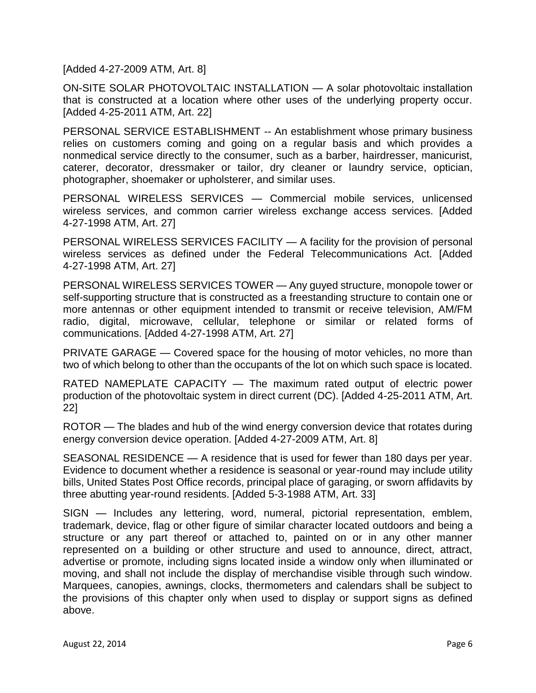[Added 4-27-2009 ATM, Art. 8]

ON-SITE SOLAR PHOTOVOLTAIC INSTALLATION — A solar photovoltaic installation that is constructed at a location where other uses of the underlying property occur. [Added 4-25-2011 ATM, Art. 22]

PERSONAL SERVICE ESTABLISHMENT -- An establishment whose primary business relies on customers coming and going on a regular basis and which provides a nonmedical service directly to the consumer, such as a barber, hairdresser, manicurist, caterer, decorator, dressmaker or tailor, dry cleaner or laundry service, optician, photographer, shoemaker or upholsterer, and similar uses.

PERSONAL WIRELESS SERVICES — Commercial mobile services, unlicensed wireless services, and common carrier wireless exchange access services. [Added 4-27-1998 ATM, Art. 27]

PERSONAL WIRELESS SERVICES FACILITY — A facility for the provision of personal wireless services as defined under the Federal Telecommunications Act. [Added 4-27-1998 ATM, Art. 27]

PERSONAL WIRELESS SERVICES TOWER — Any guyed structure, monopole tower or self-supporting structure that is constructed as a freestanding structure to contain one or more antennas or other equipment intended to transmit or receive television, AM/FM radio, digital, microwave, cellular, telephone or similar or related forms of communications. [Added 4-27-1998 ATM, Art. 27]

PRIVATE GARAGE — Covered space for the housing of motor vehicles, no more than two of which belong to other than the occupants of the lot on which such space is located.

RATED NAMEPLATE CAPACITY — The maximum rated output of electric power production of the photovoltaic system in direct current (DC). [Added 4-25-2011 ATM, Art. 22]

ROTOR — The blades and hub of the wind energy conversion device that rotates during energy conversion device operation. [Added 4-27-2009 ATM, Art. 8]

SEASONAL RESIDENCE — A residence that is used for fewer than 180 days per year. Evidence to document whether a residence is seasonal or year-round may include utility bills, United States Post Office records, principal place of garaging, or sworn affidavits by three abutting year-round residents. [Added 5-3-1988 ATM, Art. 33]

SIGN — Includes any lettering, word, numeral, pictorial representation, emblem, trademark, device, flag or other figure of similar character located outdoors and being a structure or any part thereof or attached to, painted on or in any other manner represented on a building or other structure and used to announce, direct, attract, advertise or promote, including signs located inside a window only when illuminated or moving, and shall not include the display of merchandise visible through such window. Marquees, canopies, awnings, clocks, thermometers and calendars shall be subject to the provisions of this chapter only when used to display or support signs as defined above.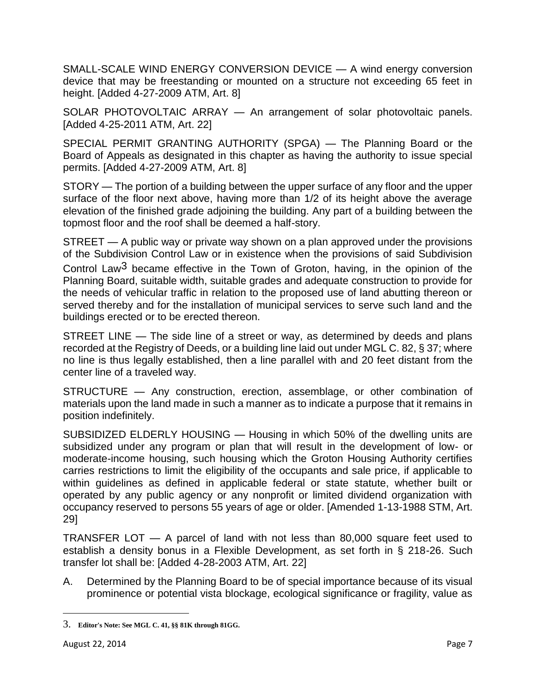SMALL-SCALE WIND ENERGY CONVERSION DEVICE — A wind energy conversion device that may be freestanding or mounted on a structure not exceeding 65 feet in height. [Added 4-27-2009 ATM, Art. 8]

SOLAR PHOTOVOLTAIC ARRAY — An arrangement of solar photovoltaic panels. [Added 4-25-2011 ATM, Art. 22]

SPECIAL PERMIT GRANTING AUTHORITY (SPGA) — The Planning Board or the Board of Appeals as designated in this chapter as having the authority to issue special permits. [Added 4-27-2009 ATM, Art. 8]

STORY — The portion of a building between the upper surface of any floor and the upper surface of the floor next above, having more than 1/2 of its height above the average elevation of the finished grade adjoining the building. Any part of a building between the topmost floor and the roof shall be deemed a half-story.

STREET — A public way or private way shown on a plan approved under the provisions of the Subdivision Control Law or in existence when the provisions of said Subdivision Control Law3 became effective in the Town of Groton, having, in the opinion of the Planning Board, suitable width, suitable grades and adequate construction to provide for the needs of vehicular traffic in relation to the proposed use of land abutting thereon or served thereby and for the installation of municipal services to serve such land and the buildings erected or to be erected thereon.

STREET LINE — The side line of a street or way, as determined by deeds and plans recorded at the Registry of Deeds, or a building line laid out under MGL C. 82, § 37; where no line is thus legally established, then a line parallel with and 20 feet distant from the center line of a traveled way.

STRUCTURE — Any construction, erection, assemblage, or other combination of materials upon the land made in such a manner as to indicate a purpose that it remains in position indefinitely.

SUBSIDIZED ELDERLY HOUSING — Housing in which 50% of the dwelling units are subsidized under any program or plan that will result in the development of low- or moderate-income housing, such housing which the Groton Housing Authority certifies carries restrictions to limit the eligibility of the occupants and sale price, if applicable to within guidelines as defined in applicable federal or state statute, whether built or operated by any public agency or any nonprofit or limited dividend organization with occupancy reserved to persons 55 years of age or older. [Amended 1-13-1988 STM, Art. 29]

TRANSFER LOT — A parcel of land with not less than 80,000 square feet used to establish a density bonus in a Flexible Development, as set forth in § 218-26. Such transfer lot shall be: [Added 4-28-2003 ATM, Art. 22]

A. Determined by the Planning Board to be of special importance because of its visual prominence or potential vista blockage, ecological significance or fragility, value as

 $\overline{\phantom{a}}$ 

<sup>3.</sup> **Editor's Note: See MGL C. 41, §§ 81K through 81GG.**